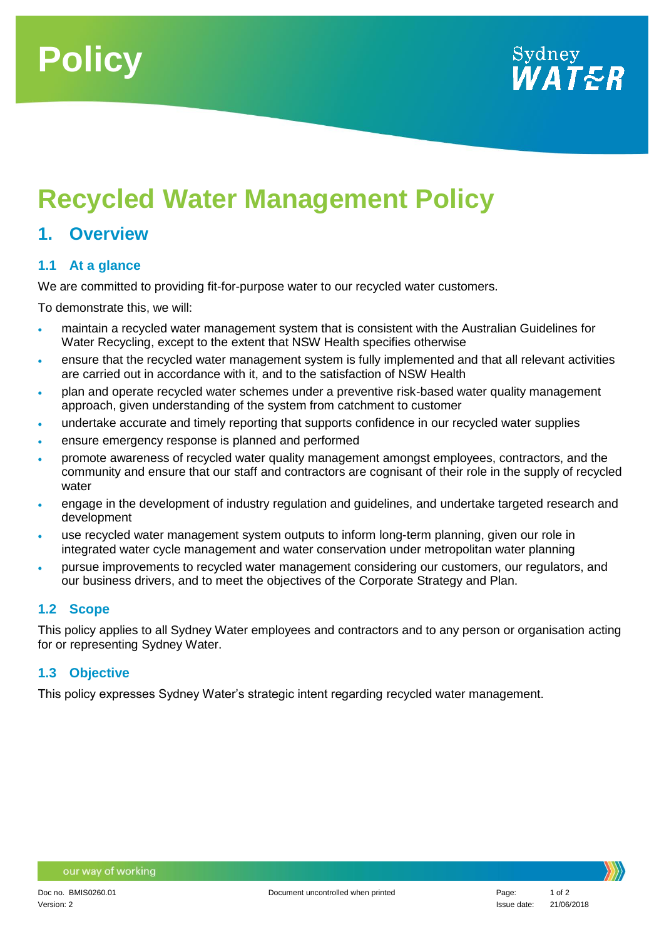



# **Recycled Water Management Policy**

### **1. Overview**

#### **1.1 At a glance**

We are committed to providing fit-for-purpose water to our recycled water customers.

To demonstrate this, we will:

- maintain a recycled water management system that is consistent with the Australian Guidelines for Water Recycling, except to the extent that NSW Health specifies otherwise
- ensure that the recycled water management system is fully implemented and that all relevant activities are carried out in accordance with it, and to the satisfaction of NSW Health
- plan and operate recycled water schemes under a preventive risk-based water quality management approach, given understanding of the system from catchment to customer
- undertake accurate and timely reporting that supports confidence in our recycled water supplies
- ensure emergency response is planned and performed
- promote awareness of recycled water quality management amongst employees, contractors, and the community and ensure that our staff and contractors are cognisant of their role in the supply of recycled water
- engage in the development of industry regulation and guidelines, and undertake targeted research and development
- use recycled water management system outputs to inform long-term planning, given our role in integrated water cycle management and water conservation under metropolitan water planning
- pursue improvements to recycled water management considering our customers, our regulators, and our business drivers, and to meet the objectives of the Corporate Strategy and Plan.

#### **1.2 Scope**

This policy applies to all Sydney Water employees and contractors and to any person or organisation acting for or representing Sydney Water.

#### **1.3 Objective**

This policy expresses Sydney Water's strategic intent regarding recycled water management.